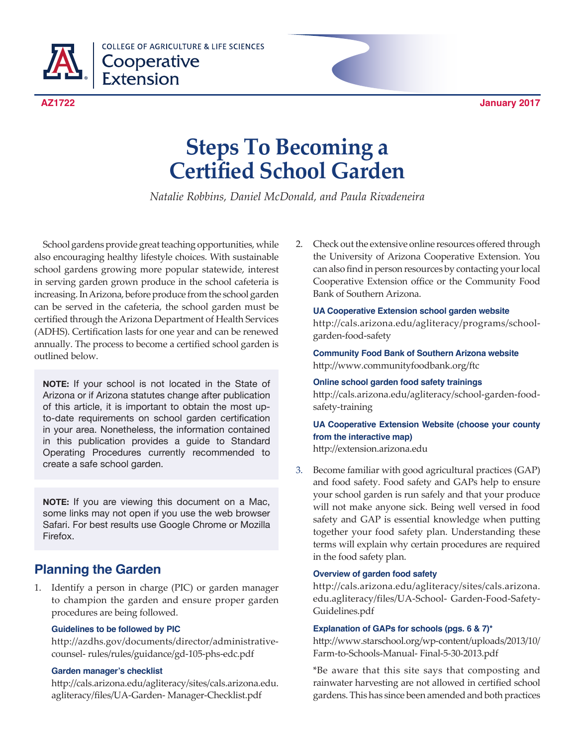

**COLLEGE OF AGRICULTURE & LIFE SCIENCES** Cooperative **Extension** 

# **Steps To Becoming a Certified School Garden**

*Natalie Robbins, Daniel McDonald, and Paula Rivadeneira*

School gardens provide great teaching opportunities, while also encouraging healthy lifestyle choices. With sustainable school gardens growing more popular statewide, interest in serving garden grown produce in the school cafeteria is increasing. In Arizona, before produce from the school garden can be served in the cafeteria, the school garden must be certified through the Arizona Department of Health Services (ADHS). Certification lasts for one year and can be renewed annually. The process to become a certified school garden is outlined below.

**NOTE:** If your school is not located in the State of Arizona or if Arizona statutes change after publication of this article, it is important to obtain the most upto-date requirements on school garden certification in your area. Nonetheless, the information contained in this publication provides a guide to Standard Operating Procedures currently recommended to create a safe school garden.

**NOTE:** If you are viewing this document on a Mac, some links may not open if you use the web browser Safari. For best results use Google Chrome or Mozilla Firefox.

# **Planning the Garden**

1. Identify a person in charge (PIC) or garden manager to champion the garden and ensure proper garden procedures are being followed.

### **Guidelines to be followed by PIC**

 http://azdhs.gov/documents/director/administrativecounsel- rules/rules/guidance/gd-105-phs-edc.pdf

### **Garden manager's checklist**

http://cals.arizona.edu/agliteracy/sites/cals.arizona.edu. agliteracy/files/UA-Garden- Manager-Checklist.pdf

2. Check out the extensive online resources offered through the University of Arizona Cooperative Extension. You can also find in person resources by contacting your local Cooperative Extension office or the Community Food Bank of Southern Arizona.

 **UA Cooperative Extension school garden website** http://cals.arizona.edu/agliteracy/programs/schoolgarden-food-safety

 **Community Food Bank of Southern Arizona website** http://www.communityfoodbank.org/ftc

 **Online school garden food safety trainings** http://cals.arizona.edu/agliteracy/school-garden-foodsafety-training

# **UA Cooperative Extension Website (choose your county from the interactive map)**

http://extension.arizona.edu

3. Become familiar with good agricultural practices (GAP) and food safety. Food safety and GAPs help to ensure your school garden is run safely and that your produce will not make anyone sick. Being well versed in food safety and GAP is essential knowledge when putting together your food safety plan. Understanding these terms will explain why certain procedures are required in the food safety plan.

### **Overview of garden food safety**

 http://cals.arizona.edu/agliteracy/sites/cals.arizona. edu.agliteracy/files/UA-School- Garden-Food-Safety-Guidelines.pdf

### **Explanation of GAPs for schools (pgs. 6 & 7)\***

http://www.starschool.org/wp-content/uploads/2013/10/ Farm-to-Schools-Manual- Final-5-30-2013.pdf

 \*Be aware that this site says that composting and rainwater harvesting are not allowed in certified school gardens. This has since been amended and both practices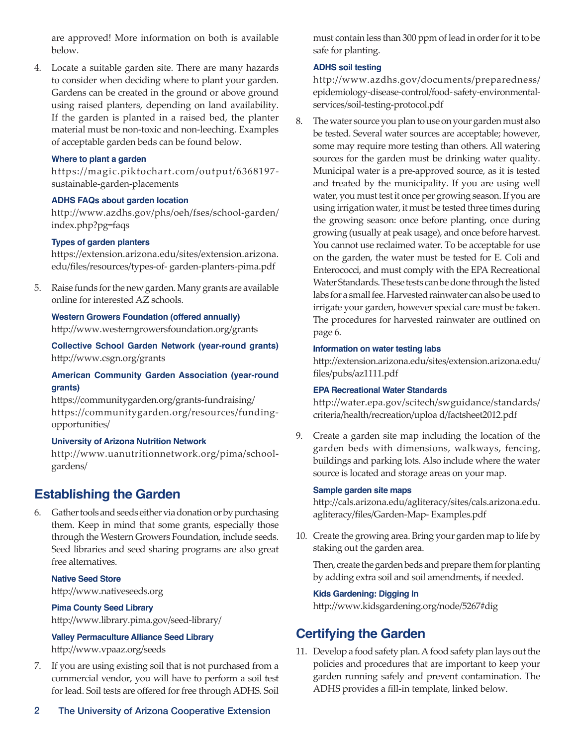are approved! More information on both is available below.

4. Locate a suitable garden site. There are many hazards to consider when deciding where to plant your garden. Gardens can be created in the ground or above ground using raised planters, depending on land availability. If the garden is planted in a raised bed, the planter material must be non-toxic and non-leeching. Examples of acceptable garden beds can be found below.

### **Where to plant a garden**

https://magic.piktochart.com/output/6368197 sustainable-garden-placements

#### **ADHS FAQs about garden location**

 http://www.azdhs.gov/phs/oeh/fses/school-garden/ index.php?pg=faqs

#### **Types of garden planters**

https://extension.arizona.edu/sites/extension.arizona. edu/files/resources/types-of- garden-planters-pima.pdf

5. Raise funds for the new garden. Many grants are available online for interested AZ schools.

 **Western Growers Foundation (offered annually)** http://www.westerngrowersfoundation.org/grants

 **Collective School Garden Network (year-round grants)** http://www.csgn.org/grants

# **American Community Garden Association (year-round grants)**

https://communitygarden.org/grants-fundraising/ https://communitygarden.org/resources/fundingopportunities/

#### **University of Arizona Nutrition Network**

http://www.uanutritionnetwork.org/pima/schoolgardens/

# **Establishing the Garden**

6. Gather tools and seeds either via donation or by purchasing them. Keep in mind that some grants, especially those through the Western Growers Foundation, include seeds. Seed libraries and seed sharing programs are also great free alternatives.

 **Native Seed Store** http://www.nativeseeds.org

# **Pima County Seed Library**

http://www.library.pima.gov/seed-library/

# **Valley Permaculture Alliance Seed Library**

http://www.vpaaz.org/seeds

7. If you are using existing soil that is not purchased from a commercial vendor, you will have to perform a soil test for lead. Soil tests are offered for free through ADHS. Soil must contain less than 300 ppm of lead in order for it to be safe for planting.

### **ADHS soil testing**

 http://www.azdhs.gov/documents/preparedness/ epidemiology-disease-control/food- safety-environmentalservices/soil-testing-protocol.pdf

8. The water source you plan to use on your garden must also be tested. Several water sources are acceptable; however, some may require more testing than others. All watering sources for the garden must be drinking water quality. Municipal water is a pre-approved source, as it is tested and treated by the municipality. If you are using well water, you must test it once per growing season. If you are using irrigation water, it must be tested three times during the growing season: once before planting, once during growing (usually at peak usage), and once before harvest. You cannot use reclaimed water. To be acceptable for use on the garden, the water must be tested for E. Coli and Enterococci, and must comply with the EPA Recreational Water Standards. These tests can be done through the listed labs for a small fee. Harvested rainwater can also be used to irrigate your garden, however special care must be taken. The procedures for harvested rainwater are outlined on page 6.

#### **Information on water testing labs**

http://extension.arizona.edu/sites/extension.arizona.edu/ files/pubs/az1111.pdf

#### **EPA Recreational Water Standards**

 http://water.epa.gov/scitech/swguidance/standards/ criteria/health/recreation/uploa d/factsheet2012.pdf

9. Create a garden site map including the location of the garden beds with dimensions, walkways, fencing, buildings and parking lots. Also include where the water source is located and storage areas on your map.

#### **Sample garden site maps**

http://cals.arizona.edu/agliteracy/sites/cals.arizona.edu. agliteracy/files/Garden-Map- Examples.pdf

10. Create the growing area. Bring your garden map to life by staking out the garden area.

 Then, create the garden beds and prepare them for planting by adding extra soil and soil amendments, if needed.

#### **Kids Gardening: Digging In**

http://www.kidsgardening.org/node/5267#dig

# **Certifying the Garden**

11. Develop a food safety plan. A food safety plan lays out the policies and procedures that are important to keep your garden running safely and prevent contamination. The ADHS provides a fill-in template, linked below.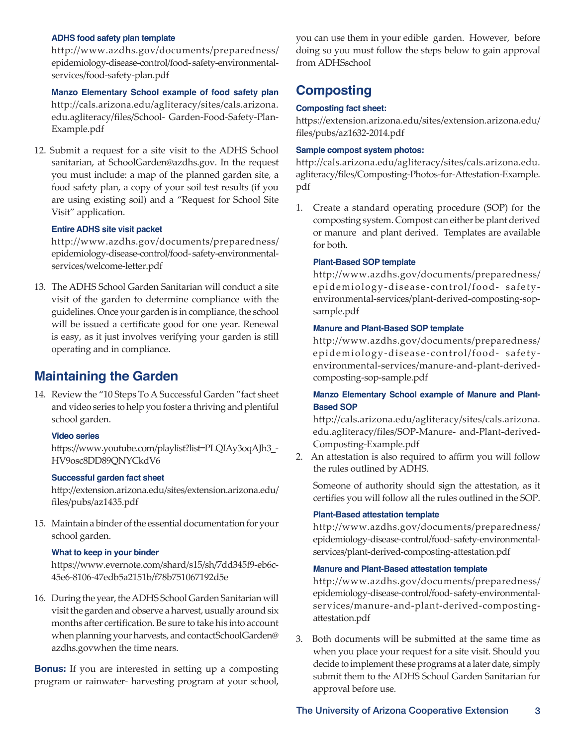#### **ADHS food safety plan template**

 http://www.azdhs.gov/documents/preparedness/ epidemiology-disease-control/food- safety-environmentalservices/food-safety-plan.pdf

 **Manzo Elementary School example of food safety plan** http://cals.arizona.edu/agliteracy/sites/cals.arizona. edu.agliteracy/files/School- Garden-Food-Safety-Plan-Example.pdf

12. Submit a request for a site visit to the ADHS School sanitarian, at SchoolGarden@azdhs.gov. In the request you must include: a map of the planned garden site, a food safety plan, a copy of your soil test results (if you are using existing soil) and a "Request for School Site Visit" application.

#### **Entire ADHS site visit packet**

 http://www.azdhs.gov/documents/preparedness/ epidemiology-disease-control/food- safety-environmentalservices/welcome-letter.pdf

13. The ADHS School Garden Sanitarian will conduct a site visit of the garden to determine compliance with the guidelines. Once your garden is in compliance, the school will be issued a certificate good for one year. Renewal is easy, as it just involves verifying your garden is still operating and in compliance.

# **Maintaining the Garden**

14. Review the "10 Steps To A Successful Garden "fact sheet and video series to help you foster a thriving and plentiful school garden.

#### **Video series**

https://www.youtube.com/playlist?list=PLQIAy3oqAJh3\_- HV9osc8DD89QNYCkdV6

#### **Successful garden fact sheet**

http://extension.arizona.edu/sites/extension.arizona.edu/ files/pubs/az1435.pdf

15. Maintain a binder of the essential documentation for your school garden.

#### **What to keep in your binder**

https://www.evernote.com/shard/s15/sh/7dd345f9-eb6c-45e6-8106-47edb5a2151b/f78b751067192d5e

16. During the year, the ADHS School Garden Sanitarian will visit the garden and observe a harvest, usually around six months after certification. Be sure to take his into account when planning your harvests, and contactSchoolGarden@ azdhs.govwhen the time nears.

**Bonus:** If you are interested in setting up a composting program or rainwater- harvesting program at your school, you can use them in your edible garden. However, before doing so you must follow the steps below to gain approval from ADHSschool

# **Composting**

### **Composting fact sheet:**

https://extension.arizona.edu/sites/extension.arizona.edu/ files/pubs/az1632-2014.pdf

#### **Sample compost system photos:**

http://cals.arizona.edu/agliteracy/sites/cals.arizona.edu. agliteracy/files/Composting-Photos-for-Attestation-Example. pdf

1. Create a standard operating procedure (SOP) for the composting system. Compost can either be plant derived or manure and plant derived. Templates are available for both.

#### **Plant-Based SOP template**

 http://www.azdhs.gov/documents/preparedness/ epidemiology-disease-control/food- safetyenvironmental-services/plant-derived-composting-sopsample.pdf

#### **Manure and Plant-Based SOP template**

 http://www.azdhs.gov/documents/preparedness/ epidemiology-disease-control/food- safetyenvironmental-services/manure-and-plant-derivedcomposting-sop-sample.pdf

### **Manzo Elementary School example of Manure and Plant-Based SOP**

 http://cals.arizona.edu/agliteracy/sites/cals.arizona. edu.agliteracy/files/SOP-Manure- and-Plant-derived-Composting-Example.pdf

2. An attestation is also required to affirm you will follow the rules outlined by ADHS.

Someone of authority should sign the attestation, as it certifies you will follow all the rules outlined in the SOP.

#### **Plant-Based attestation template**

 http://www.azdhs.gov/documents/preparedness/ epidemiology-disease-control/food- safety-environmentalservices/plant-derived-composting-attestation.pdf

#### **Manure and Plant-Based attestation template**

 http://www.azdhs.gov/documents/preparedness/ epidemiology-disease-control/food- safety-environmentalservices/manure-and-plant-derived-compostingattestation.pdf

3. Both documents will be submitted at the same time as when you place your request for a site visit. Should you decide to implement these programs at a later date, simply submit them to the ADHS School Garden Sanitarian for approval before use.